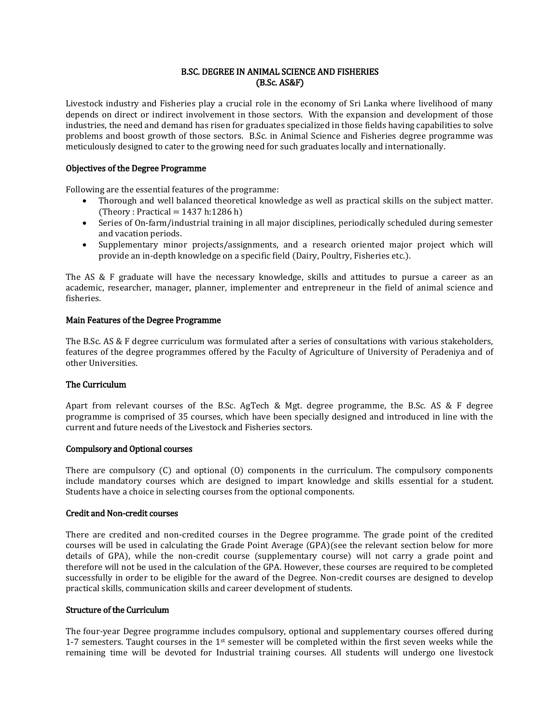## B.SC. DEGREE IN ANIMAL SCIENCE AND FISHERIES (B.Sc. AS&F)

Livestock industry and Fisheries play a crucial role in the economy of Sri Lanka where livelihood of many depends on direct or indirect involvement in those sectors. With the expansion and development of those industries, the need and demand has risen for graduates specialized in those fields having capabilities to solve problems and boost growth of those sectors. B.Sc. in Animal Science and Fisheries degree programme was meticulously designed to cater to the growing need for such graduates locally and internationally.

### Objectives of the Degree Programme

Following are the essential features of the programme:

- Thorough and well balanced theoretical knowledge as well as practical skills on the subject matter. (Theory : Practical =  $1437$  h: 1286 h)
- Series of On-farm/industrial training in all major disciplines, periodically scheduled during semester and vacation periods.
- Supplementary minor projects/assignments, and a research oriented major project which will provide an in-depth knowledge on a specific field (Dairy, Poultry, Fisheries etc.).

The AS & F graduate will have the necessary knowledge, skills and attitudes to pursue a career as an academic, researcher, manager, planner, implementer and entrepreneur in the field of animal science and fisheries.

### Main Features of the Degree Programme

The B.Sc. AS & F degree curriculum was formulated after a series of consultations with various stakeholders, features of the degree programmes offered by the Faculty of Agriculture of University of Peradeniya and of other Universities.

# The Curriculum

Apart from relevant courses of the B.Sc. AgTech & Mgt. degree programme, the B.Sc. AS & F degree programme is comprised of 35 courses, which have been specially designed and introduced in line with the current and future needs of the Livestock and Fisheries sectors.

#### Compulsory and Optional courses

There are compulsory (C) and optional (O) components in the curriculum. The compulsory components include mandatory courses which are designed to impart knowledge and skills essential for a student. Students have a choice in selecting courses from the optional components.

### Credit and Non-credit courses

There are credited and non-credited courses in the Degree programme. The grade point of the credited courses will be used in calculating the Grade Point Average (GPA)(see the relevant section below for more details of GPA), while the non-credit course (supplementary course) will not carry a grade point and therefore will not be used in the calculation of the GPA. However, these courses are required to be completed successfully in order to be eligible for the award of the Degree. Non-credit courses are designed to develop practical skills, communication skills and career development of students.

#### Structure of the Curriculum

The four-year Degree programme includes compulsory, optional and supplementary courses offered during 1-7 semesters. Taught courses in the  $1<sup>st</sup>$  semester will be completed within the first seven weeks while the remaining time will be devoted for Industrial training courses. All students will undergo one livestock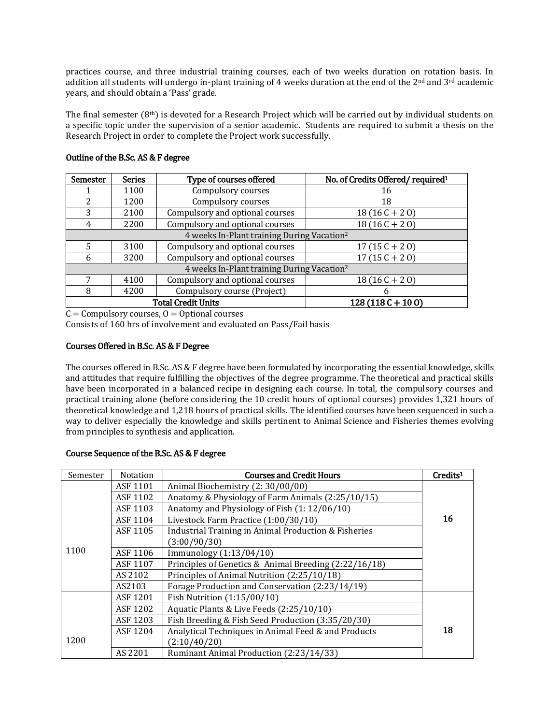practices course, and three industrial training courses, each of two weeks duration on rotation basis. In addition all students will undergo in-plant training of 4 weeks duration at the end of the  $2<sup>nd</sup>$  and  $3<sup>rd</sup>$  academic years, and should obtain a 'Pass' grade.

The final semester (8th) is devoted for a Research Project which will be carried out by individual students on a specific topic under the supervision of a senior academic. Students are required to submit a thesis on the Research Project in order to complete the Project work successfully.

| Semester                                               | <b>Series</b> | Type of courses offered         | No. of Credits Offered/required <sup>1</sup> |
|--------------------------------------------------------|---------------|---------------------------------|----------------------------------------------|
|                                                        | 1100          | Compulsory courses              | 16                                           |
| 2                                                      | 1200          | Compulsory courses              | 18                                           |
| 3                                                      | 2100          | Compulsory and optional courses | $18(16C + 20)$                               |
| 4                                                      | 2200          | Compulsory and optional courses | $18(16C + 20)$                               |
| 4 weeks In-Plant training During Vacation <sup>2</sup> |               |                                 |                                              |
| 5                                                      | 3100          | Compulsory and optional courses | $17(15C + 20)$                               |
| 6                                                      | 3200          | Compulsory and optional courses | $17(15C + 20)$                               |
| 4 weeks In-Plant training During Vacation <sup>2</sup> |               |                                 |                                              |
| 7                                                      | 4100          | Compulsory and optional courses | $18(16C + 20)$                               |
| 8                                                      | 4200          | Compulsory course (Project)     | h                                            |
| <b>Total Credit Units</b>                              |               |                                 | $128(118C+100)$                              |

### Outline of the B.Sc. AS & F degree

 $C =$  Compulsory courses,  $O =$  Optional courses

Consists of 160 hrs of involvement and evaluated on Pass/Fail basis

# Courses Offered in B.Sc. AS & F Degree

The courses offered in B.Sc. AS & F degree have been formulated by incorporating the essential knowledge, skills and attitudes that require fulfilling the objectives of the degree programme. The theoretical and practical skills have been incorporated in a balanced recipe in designing each course. In total, the compulsory courses and practical training alone (before considering the 10 credit hours of optional courses) provides 1,321 hours of theoretical knowledge and 1,218 hours of practical skills. The identified courses have been sequenced in such a way to deliver especially the knowledge and skills pertinent to Animal Science and Fisheries themes evolving from principles to synthesis and application.

## Course Sequence of the B.Sc. AS & F degree

| Semester | <b>Notation</b> | <b>Courses and Credit Hours</b>                                 | Credits <sup>1</sup> |
|----------|-----------------|-----------------------------------------------------------------|----------------------|
|          | ASF 1101        | Animal Biochemistry (2: 30/00/00)                               |                      |
|          | ASF 1102        | Anatomy & Physiology of Farm Animals (2:25/10/15)               |                      |
|          | ASF 1103        | Anatomy and Physiology of Fish (1: 12/06/10)                    |                      |
|          | ASF 1104        | Livestock Farm Practice (1:00/30/10)                            | 16                   |
|          | ASF 1105        | <b>Industrial Training in Animal Production &amp; Fisheries</b> |                      |
|          |                 | (3:00/90/30)                                                    |                      |
| 1100     | ASF 1106        | Immunology (1:13/04/10)                                         |                      |
|          | ASF 1107        | Principles of Genetics & Animal Breeding (2:22/16/18)           |                      |
|          | AS 2102         | Principles of Animal Nutrition (2:25/10/18)                     |                      |
|          | AS2103          | Forage Production and Conservation (2:23/14/19)                 |                      |
|          | ASF 1201        | Fish Nutrition (1:15/00/10)                                     |                      |
|          | ASF 1202        | Aquatic Plants & Live Feeds (2:25/10/10)                        |                      |
|          | ASF 1203        | Fish Breeding & Fish Seed Production (3:35/20/30)               |                      |
|          | ASF 1204        | Analytical Techniques in Animal Feed & and Products             | 18                   |
| 1200     |                 | (2:10/40/20)                                                    |                      |
|          | AS 2201         | Ruminant Animal Production (2:23/14/33)                         |                      |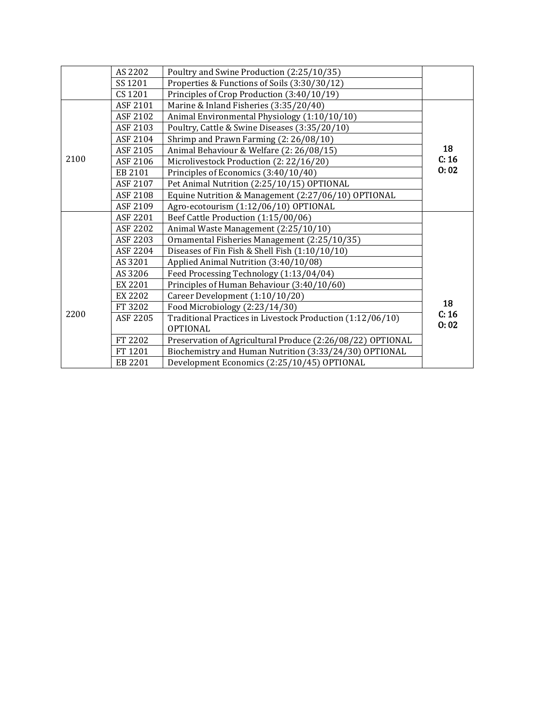|      | AS 2202  | Poultry and Swine Production (2:25/10/35)                  |       |  |
|------|----------|------------------------------------------------------------|-------|--|
|      | SS 1201  | Properties & Functions of Soils (3:30/30/12)               |       |  |
|      | CS 1201  | Principles of Crop Production (3:40/10/19)                 |       |  |
|      | ASF 2101 | Marine & Inland Fisheries (3:35/20/40)                     |       |  |
|      | ASF 2102 | Animal Environmental Physiology (1:10/10/10)               |       |  |
|      | ASF 2103 | Poultry, Cattle & Swine Diseases (3:35/20/10)              |       |  |
|      | ASF 2104 | Shrimp and Prawn Farming (2: 26/08/10)                     |       |  |
|      | ASF 2105 | Animal Behaviour & Welfare (2: 26/08/15)                   | 18    |  |
| 2100 | ASF 2106 | Microlivestock Production (2: 22/16/20)                    | C: 16 |  |
|      | EB 2101  | Principles of Economics (3:40/10/40)                       | 0:02  |  |
|      | ASF 2107 | Pet Animal Nutrition (2:25/10/15) OPTIONAL                 |       |  |
|      | ASF 2108 | Equine Nutrition & Management (2:27/06/10) OPTIONAL        |       |  |
|      | ASF 2109 | Agro-ecotourism (1:12/06/10) OPTIONAL                      |       |  |
|      | ASF 2201 | Beef Cattle Production (1:15/00/06)                        |       |  |
|      | ASF 2202 | Animal Waste Management (2:25/10/10)                       |       |  |
|      | ASF 2203 | Ornamental Fisheries Management (2:25/10/35)               |       |  |
|      | ASF 2204 | Diseases of Fin Fish & Shell Fish (1:10/10/10)             |       |  |
|      | AS 3201  | Applied Animal Nutrition (3:40/10/08)                      |       |  |
|      | AS 3206  | Feed Processing Technology (1:13/04/04)                    |       |  |
|      | EX 2201  | Principles of Human Behaviour (3:40/10/60)                 |       |  |
|      | EX 2202  | Career Development (1:10/10/20)                            | 18    |  |
| 2200 | FT 3202  | Food Microbiology (2:23/14/30)                             |       |  |
|      | ASF 2205 | Traditional Practices in Livestock Production (1:12/06/10) | C: 16 |  |
|      |          | <b>OPTIONAL</b>                                            | 0:02  |  |
|      | FT 2202  | Preservation of Agricultural Produce (2:26/08/22) OPTIONAL |       |  |
|      | FT 1201  | Biochemistry and Human Nutrition (3:33/24/30) OPTIONAL     |       |  |
|      | EB 2201  | Development Economics (2:25/10/45) OPTIONAL                |       |  |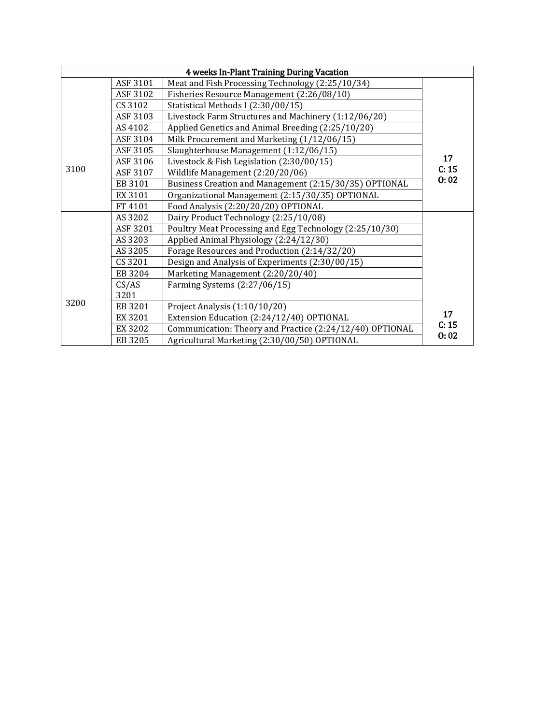| 4 weeks In-Plant Training During Vacation |          |                                                          |       |  |
|-------------------------------------------|----------|----------------------------------------------------------|-------|--|
|                                           | ASF 3101 | Meat and Fish Processing Technology (2:25/10/34)         |       |  |
|                                           | ASF 3102 | Fisheries Resource Management (2:26/08/10)               |       |  |
|                                           | CS 3102  | Statistical Methods I (2:30/00/15)                       |       |  |
|                                           | ASF 3103 | Livestock Farm Structures and Machinery (1:12/06/20)     |       |  |
|                                           | AS 4102  | Applied Genetics and Animal Breeding (2:25/10/20)        |       |  |
|                                           | ASF 3104 | Milk Procurement and Marketing (1/12/06/15)              |       |  |
|                                           | ASF 3105 | Slaughterhouse Management (1:12/06/15)                   |       |  |
|                                           | ASF 3106 | Livestock & Fish Legislation (2:30/00/15)                | 17    |  |
| 3100                                      | ASF 3107 | Wildlife Management (2:20/20/06)                         | C: 15 |  |
|                                           | EB 3101  | Business Creation and Management (2:15/30/35) OPTIONAL   | 0:02  |  |
|                                           | EX 3101  | Organizational Management (2:15/30/35) OPTIONAL          |       |  |
|                                           | FT 4101  | Food Analysis (2:20/20/20) OPTIONAL                      |       |  |
|                                           | AS 3202  | Dairy Product Technology (2:25/10/08)                    |       |  |
|                                           | ASF 3201 | Poultry Meat Processing and Egg Technology (2:25/10/30)  |       |  |
|                                           | AS 3203  | Applied Animal Physiology (2:24/12/30)                   |       |  |
|                                           | AS 3205  | Forage Resources and Production (2:14/32/20)             |       |  |
|                                           | CS 3201  | Design and Analysis of Experiments (2:30/00/15)          |       |  |
|                                           | EB 3204  | Marketing Management (2:20/20/40)                        |       |  |
|                                           | CS/AS    | Farming Systems (2:27/06/15)                             |       |  |
| 3200                                      | 3201     |                                                          |       |  |
|                                           | EB 3201  | Project Analysis (1:10/10/20)                            |       |  |
|                                           | EX 3201  | Extension Education (2:24/12/40) OPTIONAL                | 17    |  |
|                                           | EX 3202  | Communication: Theory and Practice (2:24/12/40) OPTIONAL | C: 15 |  |
|                                           | EB 3205  | Agricultural Marketing (2:30/00/50) OPTIONAL             | 0:02  |  |